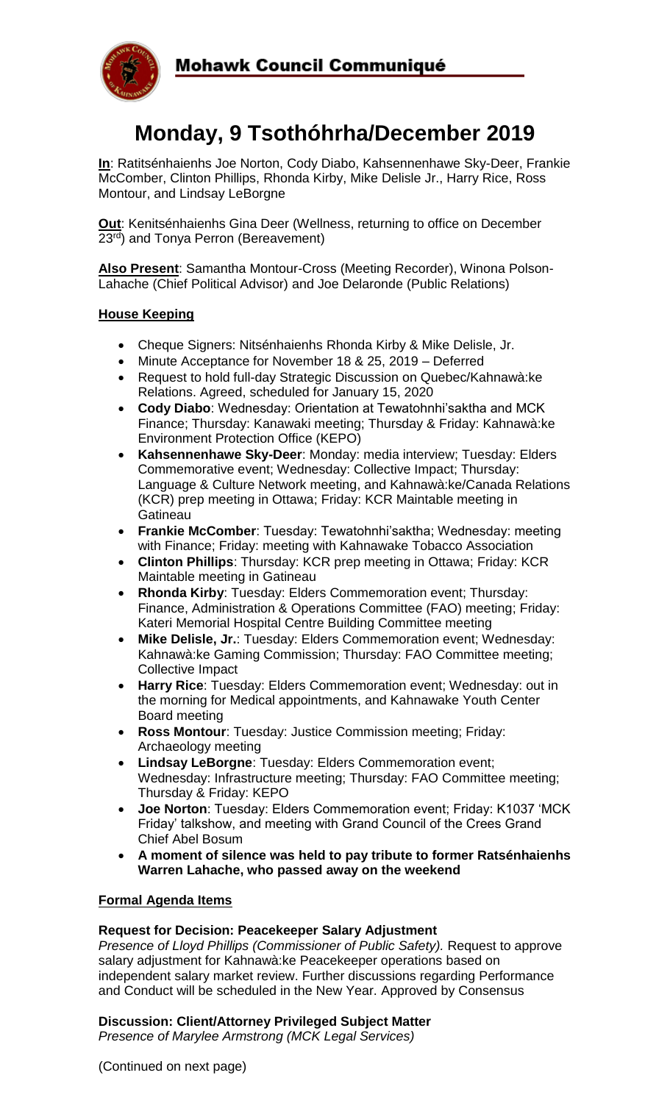

# **Monday, 9 Tsothóhrha/December 2019**

**In**: Ratitsénhaienhs Joe Norton, Cody Diabo, Kahsennenhawe Sky-Deer, Frankie McComber, Clinton Phillips, Rhonda Kirby, Mike Delisle Jr., Harry Rice, Ross Montour, and Lindsay LeBorgne

**Out**: Kenitsénhaienhs Gina Deer (Wellness, returning to office on December  $23<sup>rd</sup>$ ) and Tonya Perron (Bereavement)

**Also Present**: Samantha Montour-Cross (Meeting Recorder), Winona Polson-Lahache (Chief Political Advisor) and Joe Delaronde (Public Relations)

#### **House Keeping**

- Cheque Signers: Nitsénhaienhs Rhonda Kirby & Mike Delisle, Jr.
- Minute Acceptance for November 18 & 25, 2019 Deferred
- Request to hold full-day Strategic Discussion on Quebec/Kahnawà:ke Relations. Agreed, scheduled for January 15, 2020
- **Cody Diabo**: Wednesday: Orientation at Tewatohnhi'saktha and MCK Finance; Thursday: Kanawaki meeting; Thursday & Friday: Kahnawà:ke Environment Protection Office (KEPO)
- **Kahsennenhawe Sky-Deer**: Monday: media interview; Tuesday: Elders Commemorative event; Wednesday: Collective Impact; Thursday: Language & Culture Network meeting, and Kahnawà:ke/Canada Relations (KCR) prep meeting in Ottawa; Friday: KCR Maintable meeting in **Gatineau**
- **Frankie McComber**: Tuesday: Tewatohnhi'saktha; Wednesday: meeting with Finance; Friday: meeting with Kahnawake Tobacco Association
- **Clinton Phillips**: Thursday: KCR prep meeting in Ottawa; Friday: KCR Maintable meeting in Gatineau
- **Rhonda Kirby**: Tuesday: Elders Commemoration event; Thursday: Finance, Administration & Operations Committee (FAO) meeting; Friday: Kateri Memorial Hospital Centre Building Committee meeting
- **Mike Delisle, Jr.**: Tuesday: Elders Commemoration event; Wednesday: Kahnawà:ke Gaming Commission; Thursday: FAO Committee meeting; Collective Impact
- **Harry Rice**: Tuesday: Elders Commemoration event; Wednesday: out in the morning for Medical appointments, and Kahnawake Youth Center Board meeting
- **Ross Montour**: Tuesday: Justice Commission meeting; Friday: Archaeology meeting
- **Lindsay LeBorgne**: Tuesday: Elders Commemoration event; Wednesday: Infrastructure meeting; Thursday: FAO Committee meeting; Thursday & Friday: KEPO
- **Joe Norton**: Tuesday: Elders Commemoration event; Friday: K1037 'MCK Friday' talkshow, and meeting with Grand Council of the Crees Grand Chief Abel Bosum
- **A moment of silence was held to pay tribute to former Ratsénhaienhs Warren Lahache, who passed away on the weekend**

#### **Formal Agenda Items**

#### **Request for Decision: Peacekeeper Salary Adjustment**

*Presence of Lloyd Phillips (Commissioner of Public Safety).* Request to approve salary adjustment for Kahnawà:ke Peacekeeper operations based on independent salary market review. Further discussions regarding Performance and Conduct will be scheduled in the New Year. Approved by Consensus

#### **Discussion: Client/Attorney Privileged Subject Matter**

*Presence of Marylee Armstrong (MCK Legal Services)*

(Continued on next page)